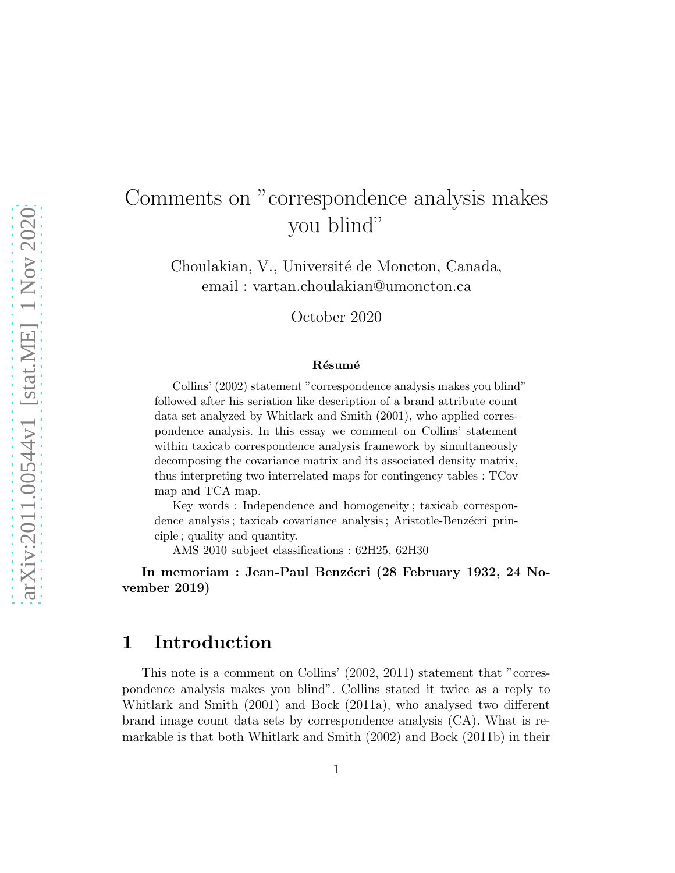# Comments on "correspondence analysis makes you blind"

Choulakian, V., Université de Moncton, Canada, email : vartan.choulakian@umoncton.ca

October 2020

#### Résumé

Collins' (2002) statement "correspondence analysis makes you blind" followed after his seriation like description of a brand attribute count data set analyzed by Whitlark and Smith (2001), who applied correspondence analysis. In this essay we comment on Collins' statement within taxicab correspondence analysis framework by simultaneously decomposing the covariance matrix and its associated density matrix, thus interpreting two interrelated maps for contingency tables : TCov map and TCA map.

Key words : Independence and homogeneity ; taxicab correspondence analysis; taxicab covariance analysis; Aristotle-Benzécri principle ; quality and quantity.

AMS 2010 subject classifications : 62H25, 62H30

In memoriam : Jean-Paul Benzécri (28 February 1932, 24 November 2019)

### 1 Introduction

This note is a comment on Collins' (2002, 2011) statement that "correspondence analysis makes you blind". Collins stated it twice as a reply to Whitlark and Smith (2001) and Bock (2011a), who analysed two different brand image count data sets by correspondence analysis (CA). What is remarkable is that both Whitlark and Smith (2002) and Bock (2011b) in their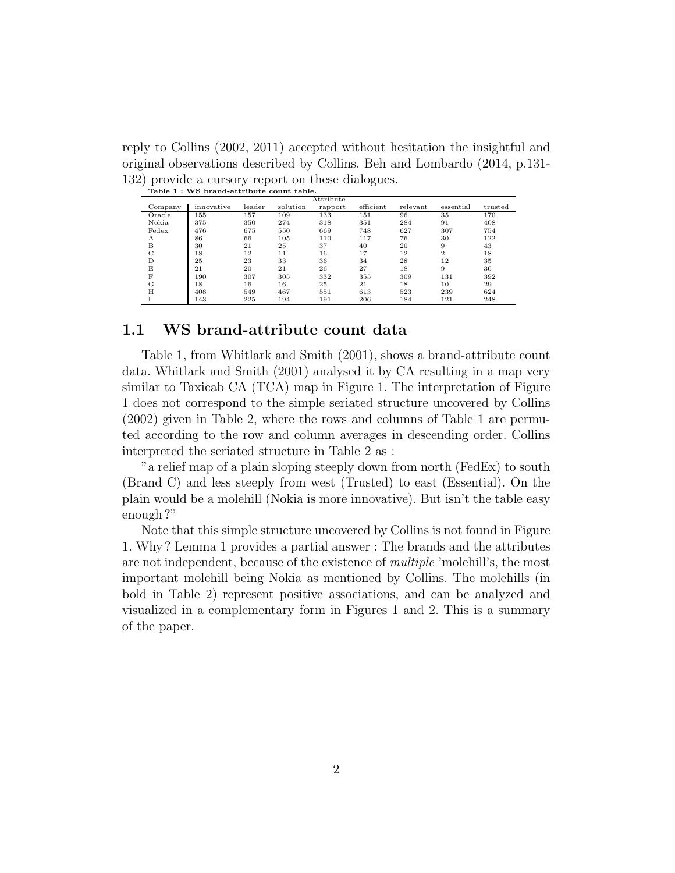reply to Collins (2002, 2011) accepted without hesitation the insightful and original observations described by Collins. Beh and Lombardo (2014, p.131- 132) provide a cursory report on these dialogues.

| Attribute |            |        |          |         |           |          |           |         |
|-----------|------------|--------|----------|---------|-----------|----------|-----------|---------|
| Company   | innovative | leader | solution | rapport | efficient | relevant | essential | trusted |
| Oracle    | 155        | 157    | 109      | 133     | 151       | 96       | 35        | 170     |
| Nokia     | 375        | 350    | 274      | 318     | 351       | 284      | 91        | 408     |
| Fedex     | 476        | 675    | 550      | 669     | 748       | 627      | 307       | 754     |
| А         | 86         | 66     | 105      | 110     | 117       | 76       | 30        | 122     |
| B         | 30         | 21     | 25       | 37      | 40        | 20       | 9         | 43      |
| C         | 18         | 12     | 11       | 16      | 17        | 12       | 2         | 18      |
| D         | 25         | 23     | 33       | 36      | 34        | 28       | 12        | 35      |
| E         | 21         | 20     | 21       | 26      | 27        | 18       | 9         | 36      |
| F         | 190        | 307    | 305      | 332     | 355       | 309      | 131       | 392     |
| G         | 18         | 16     | 16       | 25      | 21        | 18       | 10        | 29      |
| Н         | 408        | 549    | 467      | 551     | 613       | 523      | 239       | 624     |
|           | 143        | 225    | 194      | 191     | 206       | 184      | 121       | 248     |

Table 1 : WS brand-attribute count table.

### 1.1 WS brand-attribute count data

Table 1, from Whitlark and Smith (2001), shows a brand-attribute count data. Whitlark and Smith (2001) analysed it by CA resulting in a map very similar to Taxicab CA (TCA) map in Figure 1. The interpretation of Figure 1 does not correspond to the simple seriated structure uncovered by Collins (2002) given in Table 2, where the rows and columns of Table 1 are permuted according to the row and column averages in descending order. Collins interpreted the seriated structure in Table 2 as :

"a relief map of a plain sloping steeply down from north (FedEx) to south (Brand C) and less steeply from west (Trusted) to east (Essential). On the plain would be a molehill (Nokia is more innovative). But isn't the table easy enough ?"

Note that this simple structure uncovered by Collins is not found in Figure 1. Why ? Lemma 1 provides a partial answer : The brands and the attributes are not independent, because of the existence of *multiple* 'molehill's, the most important molehill being Nokia as mentioned by Collins. The molehills (in bold in Table 2) represent positive associations, and can be analyzed and visualized in a complementary form in Figures 1 and 2. This is a summary of the paper.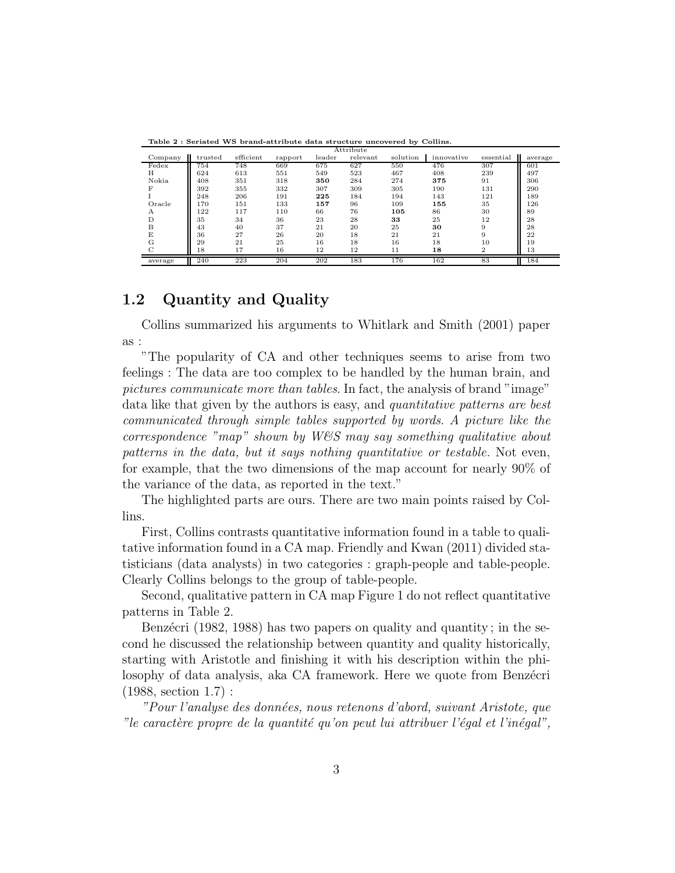| Table 2 : Seriated WS brand-attribute data structure uncovered by Collins. |  |
|----------------------------------------------------------------------------|--|
|----------------------------------------------------------------------------|--|

| Attribute |         |           |         |        |          |          |            |           |         |
|-----------|---------|-----------|---------|--------|----------|----------|------------|-----------|---------|
| Company   | trusted | efficient | rapport | leader | relevant | solution | innovative | essential | average |
| Fedex     | 754     | 748       | 669     | 675    | 627      | 550      | 476        | 307       | 601     |
| Н         | 624     | 613       | 551     | 549    | 523      | 467      | 408        | 239       | 497     |
| Nokia     | 408     | 351       | 318     | 350    | 284      | 274      | 375        | 91        | 306     |
| F         | 392     | 355       | 332     | 307    | 309      | 305      | 190        | 131       | 290     |
|           | 248     | 206       | 191     | 225    | 184      | 194      | 143        | 121       | 189     |
| Oracle    | 170     | 151       | 133     | 157    | 96       | 109      | 155        | 35        | 126     |
| А         | 122     | 117       | 110     | 66     | 76       | 105      | 86         | 30        | 89      |
| D         | 35      | 34        | 36      | 23     | 28       | 33       | 25         | 12        | 28      |
| B         | 43      | 40        | 37      | 21     | 20       | 25       | 30         | 9         | 28      |
| E         | 36      | 27        | 26      | 20     | 18       | 21       | 21         | 9         | 22      |
| G         | 29      | 21        | 25      | 16     | 18       | 16       | 18         | 10        | 19      |
| ⌒         | 18      | 17        | 16      | 12     | 12       | 11       | 18         | 2         | 13      |
| average   | 240     | 223       | 204     | 202    | 183      | 176      | 162        | 83        | 184     |

### 1.2 Quantity and Quality

Collins summarized his arguments to Whitlark and Smith (2001) paper as :

"The popularity of CA and other techniques seems to arise from two feelings : The data are too complex to be handled by the human brain, and *pictures communicate more than tables*. In fact, the analysis of brand "image" data like that given by the authors is easy, and *quantitative patterns are best communicated through simple tables supported by words*. *A picture like the correspondence "map" shown by W&S may say something qualitative about patterns in the data, but it says nothing quantitative or testable.* Not even, for example, that the two dimensions of the map account for nearly 90% of the variance of the data, as reported in the text."

The highlighted parts are ours. There are two main points raised by Collins.

First, Collins contrasts quantitative information found in a table to qualitative information found in a CA map. Friendly and Kwan (2011) divided statisticians (data analysts) in two categories : graph-people and table-people. Clearly Collins belongs to the group of table-people.

Second, qualitative pattern in CA map Figure 1 do not reflect quantitative patterns in Table 2.

Benz $\acute{e}$ cri (1982, 1988) has two papers on quality and quantity; in the second he discussed the relationship between quantity and quality historically, starting with Aristotle and finishing it with his description within the philosophy of data analysis, aka CA framework. Here we quote from Benzécri (1988, section 1.7) :

*"Pour l'analyse des donn´ees, nous retenons d'abord, suivant Aristote, que "le caract`ere propre de la quantit´e qu'on peut lui attribuer l'´egal et l'in´egal",*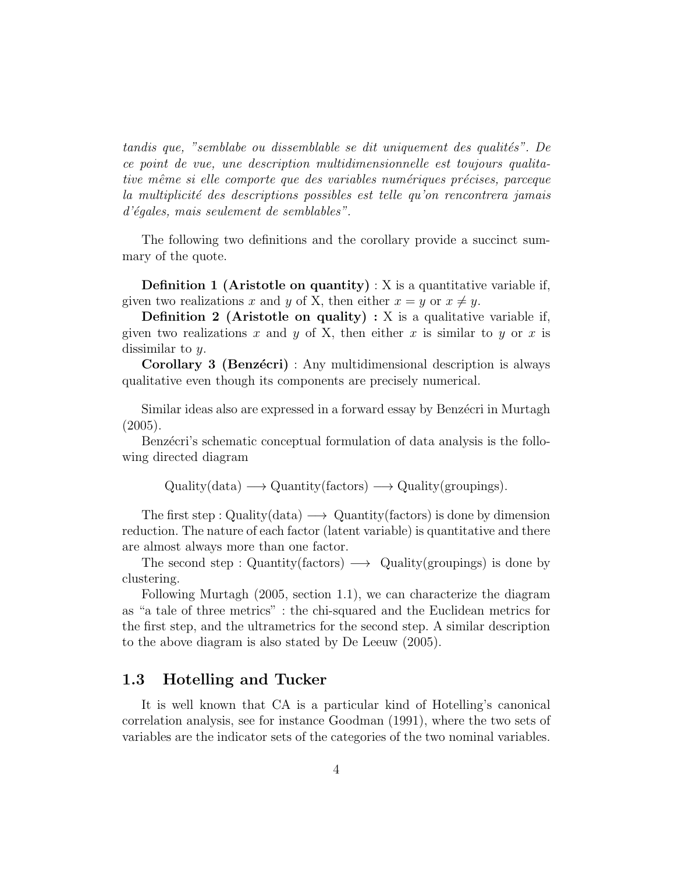*tandis que, "semblabe ou dissemblable se dit uniquement des qualités". De ce point de vue, une description multidimensionnelle est toujours qualitative même si elle comporte que des variables numériques précises, parceque la multiplicit´e des descriptions possibles est telle qu'on rencontrera jamais d'´egales, mais seulement de semblables".*

The following two definitions and the corollary provide a succinct summary of the quote.

**Definition 1 (Aristotle on quantity)** : X is a quantitative variable if, given two realizations x and y of X, then either  $x = y$  or  $x \neq y$ .

**Definition 2 (Aristotle on quality)** : X is a qualitative variable if, given two realizations x and y of X, then either x is similar to y or x is dissimilar to y.

Corollary 3 (Benzécri) : Any multidimensional description is always qualitative even though its components are precisely numerical.

Similar ideas also are expressed in a forward essay by Benzécri in Murtagh  $(2005).$ 

Benzécri's schematic conceptual formulation of data analysis is the following directed diagram

 $\text{Quality(data)} \longrightarrow \text{Quantity(factors)} \longrightarrow \text{Quality(groupings)}.$ 

The first step : Quality(data)  $\longrightarrow$  Quantity(factors) is done by dimension reduction. The nature of each factor (latent variable) is quantitative and there are almost always more than one factor.

The second step : Quantity(factors)  $\longrightarrow$  Quality(groupings) is done by clustering.

Following Murtagh (2005, section 1.1), we can characterize the diagram as "a tale of three metrics" : the chi-squared and the Euclidean metrics for the first step, and the ultrametrics for the second step. A similar description to the above diagram is also stated by De Leeuw (2005).

### 1.3 Hotelling and Tucker

It is well known that CA is a particular kind of Hotelling's canonical correlation analysis, see for instance Goodman (1991), where the two sets of variables are the indicator sets of the categories of the two nominal variables.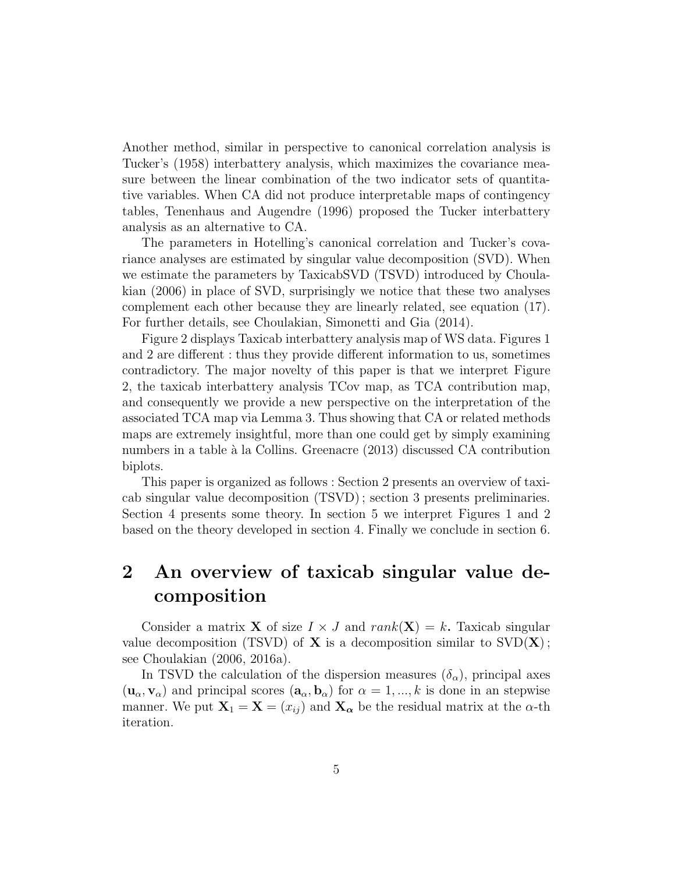Another method, similar in perspective to canonical correlation analysis is Tucker's (1958) interbattery analysis, which maximizes the covariance measure between the linear combination of the two indicator sets of quantitative variables. When CA did not produce interpretable maps of contingency tables, Tenenhaus and Augendre (1996) proposed the Tucker interbattery analysis as an alternative to CA.

The parameters in Hotelling's canonical correlation and Tucker's covariance analyses are estimated by singular value decomposition (SVD). When we estimate the parameters by TaxicabSVD (TSVD) introduced by Choulakian (2006) in place of SVD, surprisingly we notice that these two analyses complement each other because they are linearly related, see equation (17). For further details, see Choulakian, Simonetti and Gia (2014).

Figure 2 displays Taxicab interbattery analysis map of WS data. Figures 1 and 2 are different : thus they provide different information to us, sometimes contradictory. The major novelty of this paper is that we interpret Figure 2, the taxicab interbattery analysis TCov map, as TCA contribution map, and consequently we provide a new perspective on the interpretation of the associated TCA map via Lemma 3. Thus showing that CA or related methods maps are extremely insightful, more than one could get by simply examining numbers in a table à la Collins. Greenacre (2013) discussed CA contribution biplots.

This paper is organized as follows : Section 2 presents an overview of taxicab singular value decomposition (TSVD) ; section 3 presents preliminaries. Section 4 presents some theory. In section 5 we interpret Figures 1 and 2 based on the theory developed in section 4. Finally we conclude in section 6.

# 2 An overview of taxicab singular value decomposition

Consider a matrix **X** of size  $I \times J$  and  $rank(\mathbf{X}) = k$ . Taxicab singular value decomposition (TSVD) of  $X$  is a decomposition similar to  $SVD(X)$ ; see Choulakian (2006, 2016a).

In TSVD the calculation of the dispersion measures  $(\delta_{\alpha})$ , principal axes  $(\mathbf{u}_{\alpha}, \mathbf{v}_{\alpha})$  and principal scores  $(\mathbf{a}_{\alpha}, \mathbf{b}_{\alpha})$  for  $\alpha = 1, ..., k$  is done in an stepwise manner. We put  $X_1 = X = (x_{ij})$  and  $X_{\alpha}$  be the residual matrix at the  $\alpha$ -th iteration.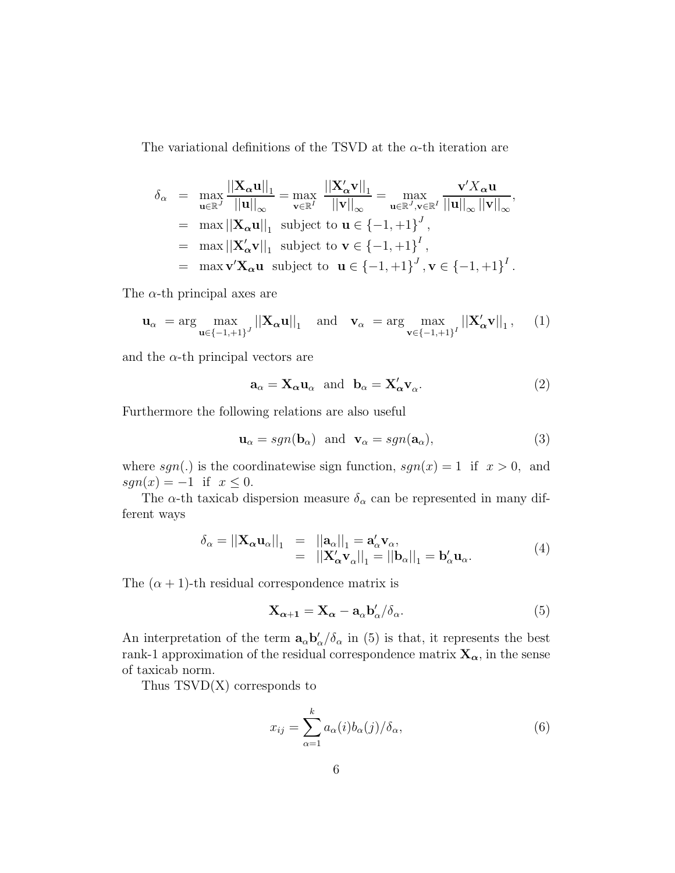The variational definitions of the TSVD at the  $\alpha$ -th iteration are

$$
\delta_{\alpha} = \max_{\mathbf{u} \in \mathbb{R}^{J}} \frac{||\mathbf{X}_{\alpha} \mathbf{u}||_{1}}{||\mathbf{u}||_{\infty}} = \max_{\mathbf{v} \in \mathbb{R}^{I}} \frac{||\mathbf{X}'_{\alpha} \mathbf{v}||_{1}}{||\mathbf{v}||_{\infty}} = \max_{\mathbf{u} \in \mathbb{R}^{J}, \mathbf{v} \in \mathbb{R}^{I}} \frac{\mathbf{v}' X_{\alpha} \mathbf{u}}{||\mathbf{u}||_{\infty} ||\mathbf{v}||_{\infty}},
$$
  
\n= max ||\mathbf{X}\_{\alpha} \mathbf{u}||\_{1} subject to  $\mathbf{u} \in \{-1, +1\}^{J},$   
\n= max ||\mathbf{X}'\_{\alpha} \mathbf{v}||\_{1} subject to  $\mathbf{v} \in \{-1, +1\}^{I},$   
\n= max  $\mathbf{v}' \mathbf{X}_{\alpha} \mathbf{u}$  subject to  $\mathbf{u} \in \{-1, +1\}^{J}, \mathbf{v} \in \{-1, +1\}^{I}.$ 

The  $\alpha$ -th principal axes are

$$
\mathbf{u}_{\alpha} = \arg \max_{\mathbf{u} \in \{-1, +1\}^J} ||\mathbf{X}_{\alpha} \mathbf{u}||_1 \quad \text{and} \quad \mathbf{v}_{\alpha} = \arg \max_{\mathbf{v} \in \{-1, +1\}^I} ||\mathbf{X}_{\alpha}' \mathbf{v}||_1, \quad (1)
$$

and the  $\alpha$ -th principal vectors are

$$
\mathbf{a}_{\alpha} = \mathbf{X}_{\alpha} \mathbf{u}_{\alpha} \text{ and } \mathbf{b}_{\alpha} = \mathbf{X}_{\alpha}' \mathbf{v}_{\alpha}. \tag{2}
$$

Furthermore the following relations are also useful

$$
\mathbf{u}_{\alpha} = sgn(\mathbf{b}_{\alpha}) \text{ and } \mathbf{v}_{\alpha} = sgn(\mathbf{a}_{\alpha}), \tag{3}
$$

where sgn(.) is the coordinatewise sign function,  $sgn(x) = 1$  if  $x > 0$ , and  $sgn(x) = -1$  if  $x \leq 0$ .

The  $\alpha$ -th taxicab dispersion measure  $\delta_{\alpha}$  can be represented in many different ways

$$
\delta_{\alpha} = ||\mathbf{X}_{\alpha}\mathbf{u}_{\alpha}||_{1} = ||\mathbf{a}_{\alpha}||_{1} = \mathbf{a}_{\alpha}'\mathbf{v}_{\alpha},
$$
  
\n
$$
= ||\mathbf{X}_{\alpha}'\mathbf{v}_{\alpha}||_{1} = ||\mathbf{b}_{\alpha}||_{1} = \mathbf{b}_{\alpha}'\mathbf{u}_{\alpha}.
$$
\n(4)

The  $(\alpha + 1)$ -th residual correspondence matrix is

$$
\mathbf{X}_{\alpha+1} = \mathbf{X}_{\alpha} - \mathbf{a}_{\alpha} \mathbf{b}_{\alpha}' / \delta_{\alpha}.
$$
 (5)

An interpretation of the term  $a_{\alpha}b'_{\alpha}/\delta_{\alpha}$  in (5) is that, it represents the best rank-1 approximation of the residual correspondence matrix  $\mathbf{X}_{\alpha}$ , in the sense of taxicab norm.

Thus  $TSVD(X)$  corresponds to

$$
x_{ij} = \sum_{\alpha=1}^{k} a_{\alpha}(i)b_{\alpha}(j)/\delta_{\alpha}, \qquad (6)
$$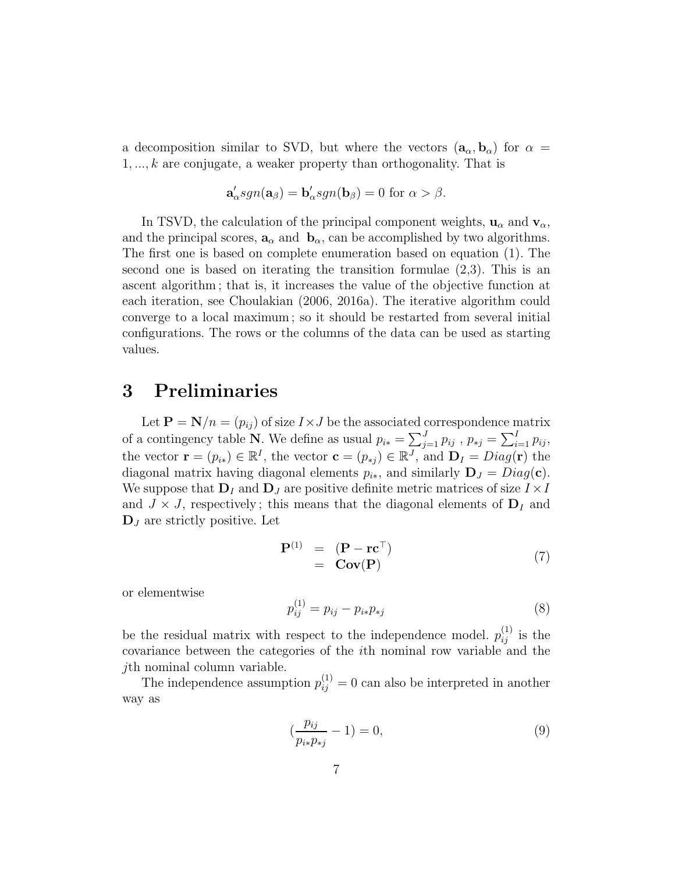a decomposition similar to SVD, but where the vectors  $(a_{\alpha}, b_{\alpha})$  for  $\alpha =$  $1, \ldots, k$  are conjugate, a weaker property than orthogonality. That is

$$
\mathbf{a}'_{\alpha}sgn(\mathbf{a}_{\beta}) = \mathbf{b}'_{\alpha}sgn(\mathbf{b}_{\beta}) = 0 \text{ for } \alpha > \beta.
$$

In TSVD, the calculation of the principal component weights,  $\mathbf{u}_{\alpha}$  and  $\mathbf{v}_{\alpha}$ , and the principal scores,  $\mathbf{a}_{\alpha}$  and  $\mathbf{b}_{\alpha}$ , can be accomplished by two algorithms. The first one is based on complete enumeration based on equation (1). The second one is based on iterating the transition formulae (2,3). This is an ascent algorithm ; that is, it increases the value of the objective function at each iteration, see Choulakian (2006, 2016a). The iterative algorithm could converge to a local maximum ; so it should be restarted from several initial configurations. The rows or the columns of the data can be used as starting values.

# 3 Preliminaries

Let  $\mathbf{P} = \mathbf{N}/n = (p_{ij})$  of size  $I \times J$  be the associated correspondence matrix of a contingency table N. We define as usual  $p_{i*} = \sum_{j=1}^{J} p_{ij}$ ,  $p_{*j} = \sum_{i=1}^{I} p_{ij}$ , the vector  $\mathbf{r} = (p_{i*}) \in \mathbb{R}^{I}$ , the vector  $\mathbf{c} = (p_{*j}) \in \mathbb{R}^{J}$ , and  $\mathbf{D}_{I} = Diag(\mathbf{r})$  the diagonal matrix having diagonal elements  $p_{i*}$ , and similarly  $\mathbf{D}_J = Diag(\mathbf{c})$ . We suppose that  $\mathbf{D}_I$  and  $\mathbf{D}_J$  are positive definite metric matrices of size  $I \times I$ and  $J \times J$ , respectively; this means that the diagonal elements of  $D<sub>I</sub>$  and  $\mathbf{D}_J$  are strictly positive. Let

$$
\mathbf{P}^{(1)} = (\mathbf{P} - \mathbf{r}\mathbf{c}^{\top}) \n= \mathbf{Cov}(\mathbf{P})
$$
\n(7)

or elementwise

$$
p_{ij}^{(1)} = p_{ij} - p_{i*}p_{*j}
$$
 (8)

be the residual matrix with respect to the independence model.  $p_{ij}^{(1)}$  is the covariance between the categories of the ith nominal row variable and the jth nominal column variable.

The independence assumption  $p_{ij}^{(1)} = 0$  can also be interpreted in another way as

$$
\left(\frac{p_{ij}}{p_{i*}p_{*j}}-1\right)=0,\t\t(9)
$$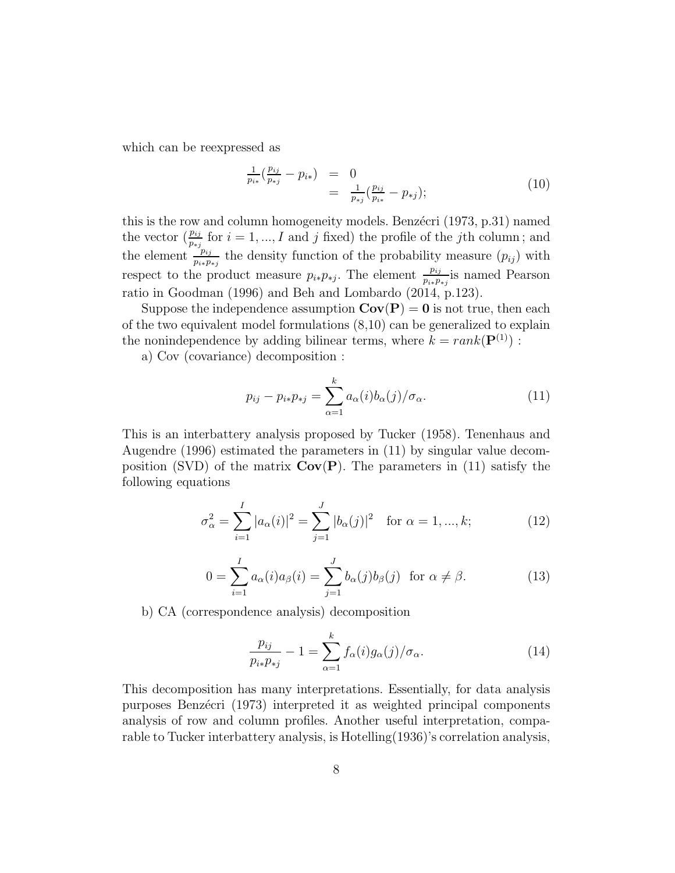which can be reexpressed as

$$
\frac{1}{p_{i*}} \left( \frac{p_{ij}}{p_{*j}} - p_{i*} \right) = 0
$$
\n
$$
= \frac{1}{p_{*j}} \left( \frac{p_{ij}}{p_{i*}} - p_{*j} \right);
$$
\n(10)

this is the row and column homogeneity models. Benz $\acute{e}$ cri (1973, p.31) named the vector  $(\frac{p_{ij}}{p_{*j}}$  for  $i = 1, ..., I$  and j fixed) the profile of the jth column; and the element  $\frac{p_{ij}}{p_{i*}p_{*j}}$  the density function of the probability measure  $(p_{ij})$  with respect to the product measure  $p_{i*}p_{*j}$ . The element  $\frac{p_{ij}}{p_{i*}p_{*j}}$  is named Pearson ratio in Goodman (1996) and Beh and Lombardo (2014, p.123).

Suppose the independence assumption  $Cov(P) = 0$  is not true, then each of the two equivalent model formulations  $(8,10)$  can be generalized to explain the nonindependence by adding bilinear terms, where  $k = rank(\mathbf{P}^{(1)})$ :

a) Cov (covariance) decomposition :

$$
p_{ij} - p_{i*}p_{*j} = \sum_{\alpha=1}^{k} a_{\alpha}(i)b_{\alpha}(j)/\sigma_{\alpha}.
$$
 (11)

This is an interbattery analysis proposed by Tucker (1958). Tenenhaus and Augendre (1996) estimated the parameters in (11) by singular value decomposition (SVD) of the matrix  $Cov(P)$ . The parameters in (11) satisfy the following equations

$$
\sigma_{\alpha}^{2} = \sum_{i=1}^{I} |a_{\alpha}(i)|^{2} = \sum_{j=1}^{J} |b_{\alpha}(j)|^{2} \text{ for } \alpha = 1, ..., k; \qquad (12)
$$

$$
0 = \sum_{i=1}^{I} a_{\alpha}(i)a_{\beta}(i) = \sum_{j=1}^{J} b_{\alpha}(j)b_{\beta}(j) \text{ for } \alpha \neq \beta.
$$
 (13)

b) CA (correspondence analysis) decomposition

$$
\frac{p_{ij}}{p_{i*}p_{*j}} - 1 = \sum_{\alpha=1}^{k} f_{\alpha}(i)g_{\alpha}(j)/\sigma_{\alpha}.
$$
 (14)

This decomposition has many interpretations. Essentially, for data analysis purposes Benzécri (1973) interpreted it as weighted principal components analysis of row and column profiles. Another useful interpretation, comparable to Tucker interbattery analysis, is Hotelling(1936)'s correlation analysis,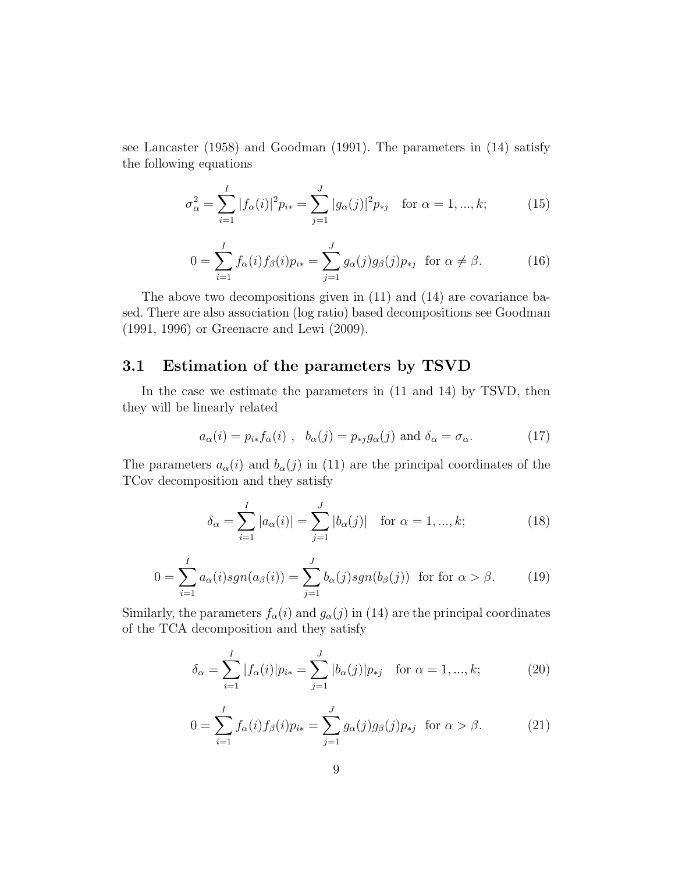see Lancaster (1958) and Goodman (1991). The parameters in (14) satisfy the following equations

$$
\sigma_{\alpha}^{2} = \sum_{i=1}^{I} |f_{\alpha}(i)|^{2} p_{i*} = \sum_{j=1}^{J} |g_{\alpha}(j)|^{2} p_{*j} \quad \text{for } \alpha = 1, ..., k; \tag{15}
$$

$$
0 = \sum_{i=1}^{I} f_{\alpha}(i) f_{\beta}(i) p_{i*} = \sum_{j=1}^{J} g_{\alpha}(j) g_{\beta}(j) p_{*j} \text{ for } \alpha \neq \beta.
$$
 (16)

The above two decompositions given in (11) and (14) are covariance based. There are also association (log ratio) based decompositions see Goodman (1991, 1996) or Greenacre and Lewi (2009).

### 3.1 Estimation of the parameters by TSVD

In the case we estimate the parameters in (11 and 14) by TSVD, then they will be linearly related

$$
a_{\alpha}(i) = p_{i*} f_{\alpha}(i) , b_{\alpha}(j) = p_{*j} g_{\alpha}(j) \text{ and } \delta_{\alpha} = \sigma_{\alpha}.
$$
 (17)

The parameters  $a_{\alpha}(i)$  and  $b_{\alpha}(j)$  in (11) are the principal coordinates of the TCov decomposition and they satisfy

$$
\delta_{\alpha} = \sum_{i=1}^{I} |a_{\alpha}(i)| = \sum_{j=1}^{J} |b_{\alpha}(j)| \text{ for } \alpha = 1, ..., k; \tag{18}
$$

$$
0 = \sum_{i=1}^{I} a_{\alpha}(i) sgn(a_{\beta}(i)) = \sum_{j=1}^{J} b_{\alpha}(j) sgn(b_{\beta}(j)) \text{ for for } \alpha > \beta.
$$
 (19)

Similarly, the parameters  $f_{\alpha}(i)$  and  $g_{\alpha}(j)$  in (14) are the principal coordinates of the TCA decomposition and they satisfy

$$
\delta_{\alpha} = \sum_{i=1}^{I} |f_{\alpha}(i)| p_{i*} = \sum_{j=1}^{J} |b_{\alpha}(j)| p_{*j} \quad \text{for } \alpha = 1, ..., k; \tag{20}
$$

$$
0 = \sum_{i=1}^{I} f_{\alpha}(i) f_{\beta}(i) p_{i*} = \sum_{j=1}^{J} g_{\alpha}(j) g_{\beta}(j) p_{*j} \text{ for } \alpha > \beta.
$$
 (21)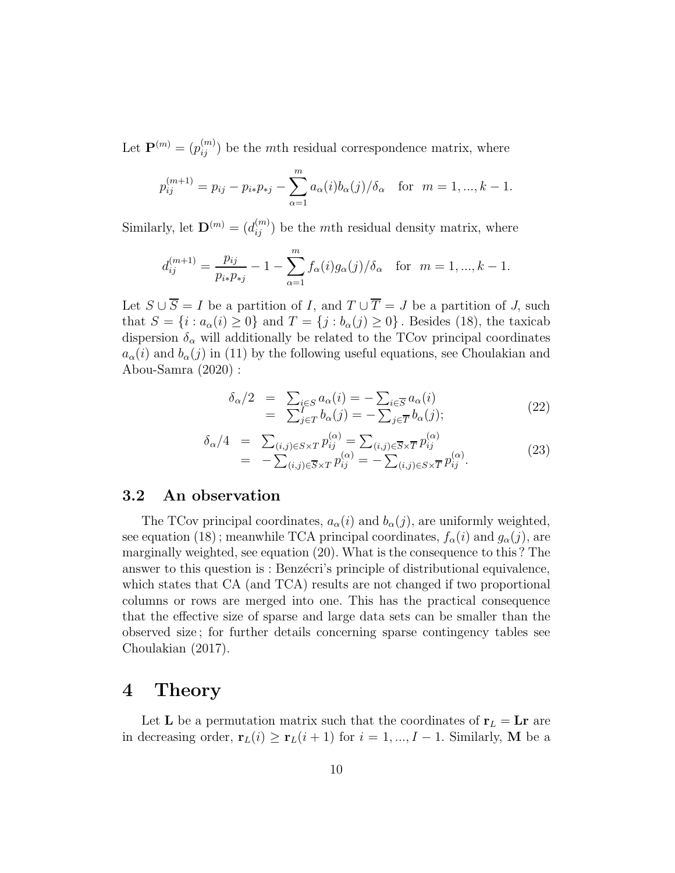Let  $\mathbf{P}^{(m)} = (p_{ij}^{(m)})$  be the mth residual correspondence matrix, where

$$
p_{ij}^{(m+1)} = p_{ij} - p_{i*}p_{*j} - \sum_{\alpha=1}^{m} a_{\alpha}(i)b_{\alpha}(j)/\delta_{\alpha} \text{ for } m = 1, ..., k - 1.
$$

Similarly, let  $\mathbf{D}^{(m)} = (d_{ij}^{(m)})$  be the mth residual density matrix, where

$$
d_{ij}^{(m+1)} = \frac{p_{ij}}{p_{i*}p_{*j}} - 1 - \sum_{\alpha=1}^{m} f_{\alpha}(i)g_{\alpha}(j)/\delta_{\alpha} \text{ for } m = 1, ..., k - 1.
$$

Let  $S \cup \overline{S} = I$  be a partition of I, and  $T \cup \overline{T} = J$  be a partition of J, such that  $S = \{i : a_{\alpha}(i) \geq 0\}$  and  $T = \{j : b_{\alpha}(j) \geq 0\}$ . Besides (18), the taxicab dispersion  $\delta_{\alpha}$  will additionally be related to the TCov principal coordinates  $a_{\alpha}(i)$  and  $b_{\alpha}(j)$  in (11) by the following useful equations, see Choulakian and Abou-Samra (2020) :

$$
\begin{array}{rcl}\n\delta_{\alpha}/2 & = & \sum_{i \in S} a_{\alpha}(i) = -\sum_{i \in \overline{S}} a_{\alpha}(i) \\
& = & \sum_{j \in T} b_{\alpha}(j) = -\sum_{j \in \overline{T}} b_{\alpha}(j);\n\end{array} \tag{22}
$$

$$
\delta_{\alpha}/4 = \sum_{(i,j)\in S\times T} p_{ij}^{(\alpha)} = \sum_{(i,j)\in \overline{S}\times T} p_{ij}^{(\alpha)}
$$
  
= 
$$
-\sum_{(i,j)\in \overline{S}\times T} p_{ij}^{(\alpha)} = -\sum_{(i,j)\in S\times \overline{T}} p_{ij}^{(\alpha)}.
$$
 (23)

### 3.2 An observation

The TCov principal coordinates,  $a_{\alpha}(i)$  and  $b_{\alpha}(j)$ , are uniformly weighted, see equation (18); meanwhile TCA principal coordinates,  $f_{\alpha}(i)$  and  $g_{\alpha}(j)$ , are marginally weighted, see equation (20). What is the consequence to this ? The answer to this question is : Benzécri's principle of distributional equivalence, which states that CA (and TCA) results are not changed if two proportional columns or rows are merged into one. This has the practical consequence that the effective size of sparse and large data sets can be smaller than the observed size ; for further details concerning sparse contingency tables see Choulakian (2017).

### 4 Theory

Let **L** be a permutation matrix such that the coordinates of  $\mathbf{r}_L = \mathbf{L}\mathbf{r}$  are in decreasing order,  $\mathbf{r}_L(i) \geq \mathbf{r}_L(i+1)$  for  $i = 1, ..., I-1$ . Similarly, M be a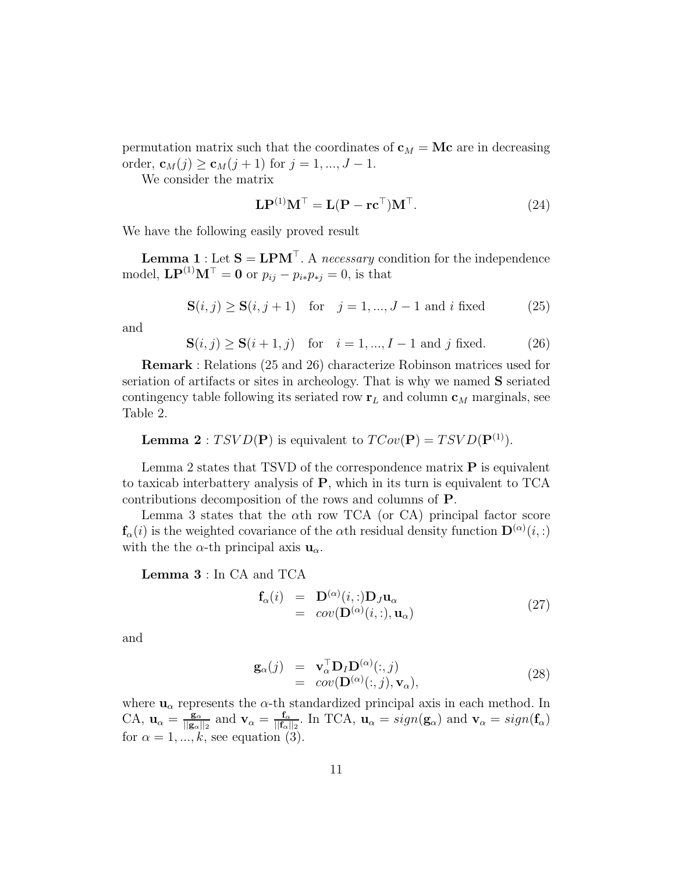permutation matrix such that the coordinates of  $\mathbf{c}_M = \mathbf{M}\mathbf{c}$  are in decreasing order,  $c_M(j) \geq c_M(j + 1)$  for  $j = 1, ..., J - 1$ .

We consider the matrix

$$
\mathbf{LP}^{(1)}\mathbf{M}^{\top} = \mathbf{L}(\mathbf{P} - \mathbf{r}\mathbf{c}^{\top})\mathbf{M}^{\top}.
$$
 (24)

We have the following easily proved result

**Lemma 1**: Let  $S = LPM<sup>T</sup>$ . A *necessary* condition for the independence model,  $\mathbf{LP}^{(1)}\mathbf{M}^\top = \mathbf{0}$  or  $p_{ij} - p_{i*}p_{*j} = 0$ , is that

$$
\mathbf{S}(i,j) \ge \mathbf{S}(i,j+1) \text{ for } j = 1,...,J-1 \text{ and } i \text{ fixed} \tag{25}
$$

and

$$
\mathbf{S}(i,j) \ge \mathbf{S}(i+1,j) \quad \text{for} \quad i = 1, ..., I-1 \text{ and } j \text{ fixed.} \tag{26}
$$

Remark : Relations (25 and 26) characterize Robinson matrices used for seriation of artifacts or sites in archeology. That is why we named S seriated contingency table following its seriated row  $r<sub>L</sub>$  and column  $c<sub>M</sub>$  marginals, see Table 2.

**Lemma 2** :  $TSVD(P)$  is equivalent to  $TCov(P) = T SVD(P^{(1)})$ .

Lemma 2 states that TSVD of the correspondence matrix  $P$  is equivalent to taxicab interbattery analysis of P, which in its turn is equivalent to TCA contributions decomposition of the rows and columns of P.

Lemma 3 states that the  $\alpha$ th row TCA (or CA) principal factor score  $\mathbf{f}_{\alpha}(i)$  is the weighted covariance of the  $\alpha$ th residual density function  $\mathbf{D}^{(\alpha)}(i,:)$ with the the  $\alpha$ -th principal axis  $\mathbf{u}_{\alpha}$ .

Lemma 3 : In CA and TCA

$$
\mathbf{f}_{\alpha}(i) = \mathbf{D}^{(\alpha)}(i,:) \mathbf{D}_{J} \mathbf{u}_{\alpha} \n= cov(\mathbf{D}^{(\alpha)}(i,:), \mathbf{u}_{\alpha})
$$
\n(27)

and

$$
\mathbf{g}_{\alpha}(j) = \mathbf{v}_{\alpha}^{\top} \mathbf{D}_{I} \mathbf{D}^{(\alpha)}(:,j) \n= cov(\mathbf{D}^{(\alpha)}(:,j), \mathbf{v}_{\alpha}),
$$
\n(28)

where  $\mathbf{u}_{\alpha}$  represents the  $\alpha$ -th standardized principal axis in each method. In CA,  $\mathbf{u}_{\alpha} = \frac{\mathbf{g}_{\alpha}}{||\mathbf{g}_{\alpha}||}$  $\frac{\mathbf{g}_{\alpha}}{||\mathbf{g}_{\alpha}||_2}$  and  $\mathbf{v}_{\alpha} = \frac{\mathbf{f}_{\alpha}}{||\mathbf{f}_{\alpha}||_2}$  $\frac{f_{\alpha}}{||f_{\alpha}||_2}$ . In TCA,  $\mathbf{u}_{\alpha} = sign(\mathbf{g}_{\alpha})$  and  $\mathbf{v}_{\alpha} = sign(\mathbf{f}_{\alpha})$ for  $\alpha = 1, ..., k$ , see equation (3).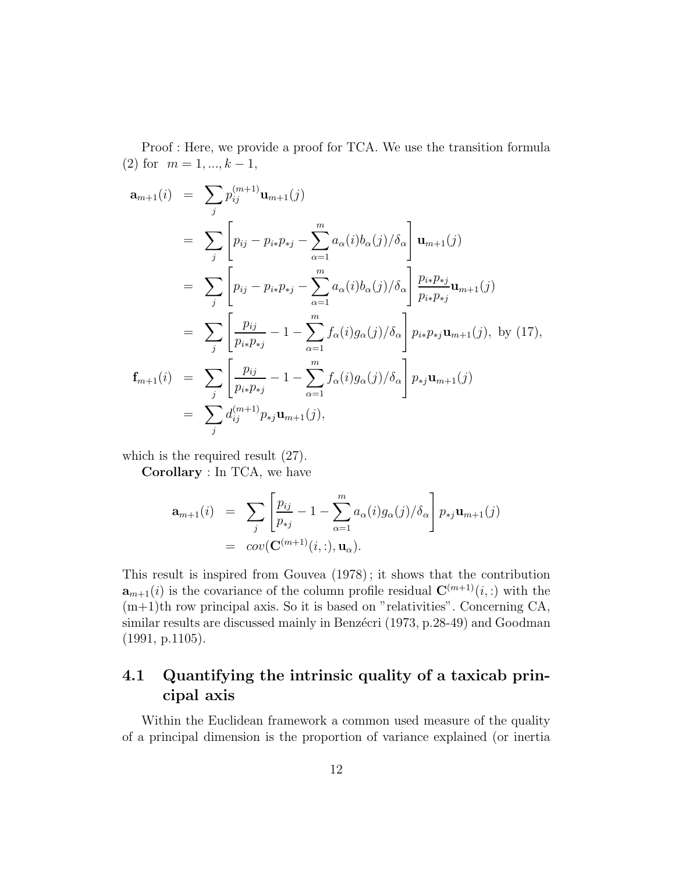Proof : Here, we provide a proof for TCA. We use the transition formula (2) for  $m = 1, ..., k - 1$ ,

$$
\mathbf{a}_{m+1}(i) = \sum_{j} p_{ij}^{(m+1)} \mathbf{u}_{m+1}(j)
$$
  
\n
$$
= \sum_{j} \left[ p_{ij} - p_{i*} p_{*j} - \sum_{\alpha=1}^{m} a_{\alpha}(i) b_{\alpha}(j) / \delta_{\alpha} \right] \mathbf{u}_{m+1}(j)
$$
  
\n
$$
= \sum_{j} \left[ p_{ij} - p_{i*} p_{*j} - \sum_{\alpha=1}^{m} a_{\alpha}(i) b_{\alpha}(j) / \delta_{\alpha} \right] \frac{p_{i*} p_{*j}}{p_{i*} p_{*j}} \mathbf{u}_{m+1}(j)
$$
  
\n
$$
= \sum_{j} \left[ \frac{p_{ij}}{p_{i*} p_{*j}} - 1 - \sum_{\alpha=1}^{m} f_{\alpha}(i) g_{\alpha}(j) / \delta_{\alpha} \right] p_{i*} p_{*j} \mathbf{u}_{m+1}(j), \text{ by (17)},
$$
  
\n
$$
\mathbf{f}_{m+1}(i) = \sum_{j} \left[ \frac{p_{ij}}{p_{i*} p_{*j}} - 1 - \sum_{\alpha=1}^{m} f_{\alpha}(i) g_{\alpha}(j) / \delta_{\alpha} \right] p_{*j} \mathbf{u}_{m+1}(j)
$$
  
\n
$$
= \sum_{j} d_{ij}^{(m+1)} p_{*j} \mathbf{u}_{m+1}(j),
$$

which is the required result (27).

Corollary : In TCA, we have

$$
\mathbf{a}_{m+1}(i) = \sum_{j} \left[ \frac{p_{ij}}{p_{*j}} - 1 - \sum_{\alpha=1}^{m} a_{\alpha}(i) g_{\alpha}(j) / \delta_{\alpha} \right] p_{*j} \mathbf{u}_{m+1}(j)
$$
  
=  $cov(\mathbf{C}^{(m+1)}(i,:), \mathbf{u}_{\alpha}).$ 

This result is inspired from Gouvea (1978) ; it shows that the contribution  $\mathbf{a}_{m+1}(i)$  is the covariance of the column profile residual  $\mathbf{C}^{(m+1)}(i, :)$  with the  $(m+1)$ th row principal axis. So it is based on "relativities". Concerning CA, similar results are discussed mainly in Benzécri (1973, p.28-49) and Goodman (1991, p.1105).

### 4.1 Quantifying the intrinsic quality of a taxicab principal axis

Within the Euclidean framework a common used measure of the quality of a principal dimension is the proportion of variance explained (or inertia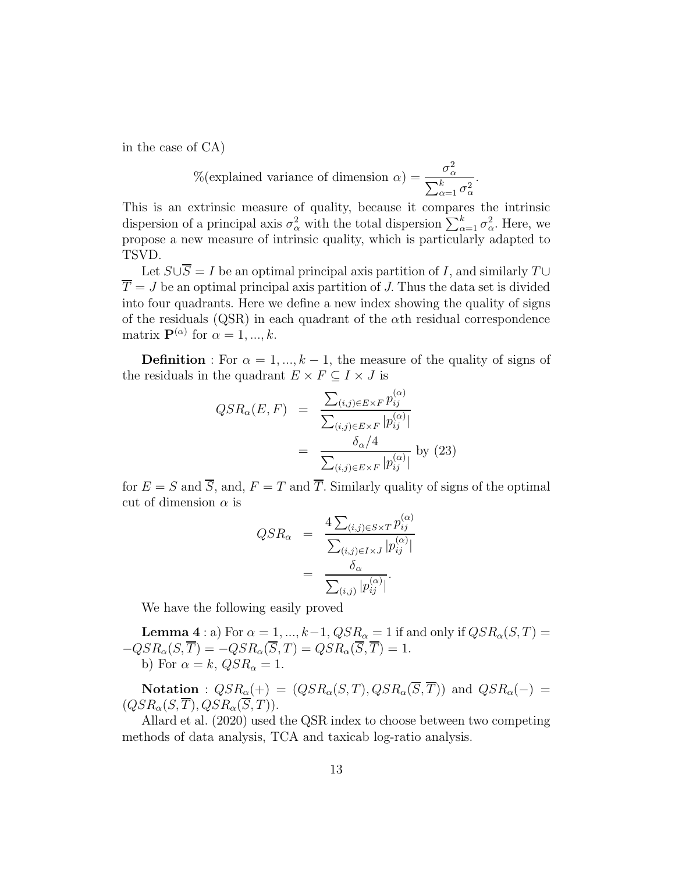in the case of CA)

$$
\%(\text{explained variance of dimension }\alpha) = \frac{\sigma_{\alpha}^2}{\sum_{\alpha=1}^k \sigma_{\alpha}^2}.
$$

This is an extrinsic measure of quality, because it compares the intrinsic dispersion of a principal axis  $\sigma_{\alpha}^2$  with the total dispersion  $\sum_{\alpha=1}^k \sigma_{\alpha}^2$ . Here, we propose a new measure of intrinsic quality, which is particularly adapted to TSVD.

Let  $S\cup \overline{S} = I$  be an optimal principal axis partition of I, and similarly  $T\cup$  $\overline{T} = J$  be an optimal principal axis partition of J. Thus the data set is divided into four quadrants. Here we define a new index showing the quality of signs of the residuals (QSR) in each quadrant of the  $\alpha$ th residual correspondence matrix  $\mathbf{P}^{(\alpha)}$  for  $\alpha = 1, ..., k$ .

**Definition** : For  $\alpha = 1, ..., k - 1$ , the measure of the quality of signs of the residuals in the quadrant  $E \times F \subseteq I \times J$  is

$$
QSR_{\alpha}(E, F) = \frac{\sum_{(i,j)\in E\times F} p_{ij}^{(\alpha)}}{\sum_{(i,j)\in E\times F} |p_{ij}^{(\alpha)}|}
$$

$$
= \frac{\delta_{\alpha}/4}{\sum_{(i,j)\in E\times F} |p_{ij}^{(\alpha)}|} \text{ by (23)}
$$

for  $E = S$  and  $\overline{S}$ , and,  $F = T$  and  $\overline{T}$ . Similarly quality of signs of the optimal cut of dimension  $\alpha$  is

$$
QSR_{\alpha} = \frac{4 \sum_{(i,j) \in S \times T} p_{ij}^{(\alpha)}}{\sum_{(i,j) \in I \times J} |p_{ij}^{(\alpha)}|}
$$

$$
= \frac{\delta_{\alpha}}{\sum_{(i,j)} |p_{ij}^{(\alpha)}|}.
$$

We have the following easily proved

**Lemma 4** : a) For  $\alpha = 1, ..., k-1$ ,  $QSR_{\alpha} = 1$  if and only if  $QSR_{\alpha}(S, T) =$  $-QSR_{\alpha}(S,\overline{T})=-QSR_{\alpha}(\overline{S},T)=QSR_{\alpha}(\overline{S},\overline{T})=1.$ b) For  $\alpha = k$ ,  $QSR_{\alpha} = 1$ .

Notation :  $QSR_{\alpha}(+) = (QSR_{\alpha}(S,T), QSR_{\alpha}(\overline{S},\overline{T}))$  and  $QSR_{\alpha}(-) =$  $(QSR_\alpha(S,\overline{T}), QSR_\alpha(\overline{S},T)).$ 

Allard et al. (2020) used the QSR index to choose between two competing methods of data analysis, TCA and taxicab log-ratio analysis.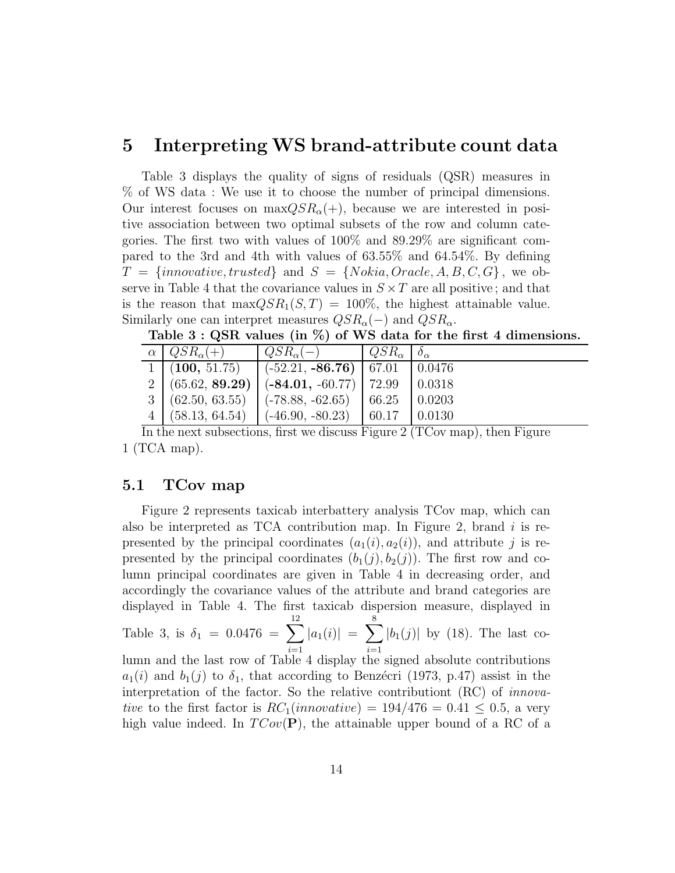### 5 Interpreting WS brand-attribute count data

Table 3 displays the quality of signs of residuals (QSR) measures in % of WS data : We use it to choose the number of principal dimensions. Our interest focuses on  $\maxQSR_{\alpha}(+)$ , because we are interested in positive association between two optimal subsets of the row and column categories. The first two with values of 100% and 89.29% are significant compared to the 3rd and 4th with values of 63.55% and 64.54%. By defining  $T = \{innovative, trusted\}$  and  $S = \{Nokia, Oracle, A, B, C, G\}$ , we observe in Table 4 that the covariance values in  $S \times T$  are all positive; and that is the reason that  $\maxQSR_1(S,T) = 100\%$ , the highest attainable value. Similarly one can interpret measures  $QSR_{\alpha}(-)$  and  $QSR_{\alpha}$ .

| $\alpha$   $QSR_{\alpha}(+)$ | $QSR_{\alpha}(-)$                                                    | $QSR_{\alpha}$   $\delta_{\alpha}$ |               |  |  |  |  |  |  |
|------------------------------|----------------------------------------------------------------------|------------------------------------|---------------|--|--|--|--|--|--|
| $1 \mid (100, 51.75)$        | $(-52.21, -86.76)$   67.01   0.0476                                  |                                    |               |  |  |  |  |  |  |
| 2 (65.62, <b>89.29)</b>      | $(-84.01, -60.77)$   72.99                                           |                                    | $\mid 0.0318$ |  |  |  |  |  |  |
| $3 \mid (62.50, 63.55)$      | $(-78.88, -62.65)$ 66.25 0.0203                                      |                                    |               |  |  |  |  |  |  |
|                              | $4 \mid (58.13, 64.54) \mid (-46.90, -80.23) \mid 60.17 \mid 0.0130$ |                                    |               |  |  |  |  |  |  |

Table  $3: QSR$  values (in  $\%$ ) of WS data for the first 4 dimensions.

In the next subsections, first we discuss Figure 2 (TCov  $\overline{\text{map}}$ ), then Figure 1 (TCA map).

#### 5.1 TCov map

Figure 2 represents taxicab interbattery analysis TCov map, which can also be interpreted as TCA contribution map. In Figure 2, brand  $i$  is represented by the principal coordinates  $(a_1(i), a_2(i))$ , and attribute j is represented by the principal coordinates  $(b_1(j), b_2(j))$ . The first row and column principal coordinates are given in Table 4 in decreasing order, and accordingly the covariance values of the attribute and brand categories are displayed in Table 4. The first taxicab dispersion measure, displayed in Table 3, is  $\delta_1 = 0.0476 = \sum$ 12  $i=1$  $|a_1(i)| = \sum$ 8  $i=1$  $|b_1(j)|$  by (18). The last column and the last row of Table 4 display the signed absolute contributions  $a_1(i)$  and  $b_1(j)$  to  $\delta_1$ , that according to Benzécri (1973, p.47) assist in the interpretation of the factor. So the relative contributiont (RC) of *innovative* to the first factor is  $RC_1(innovative) = 194/476 = 0.41 \le 0.5$ , a very high value indeed. In  $TCov(\mathbf{P})$ , the attainable upper bound of a RC of a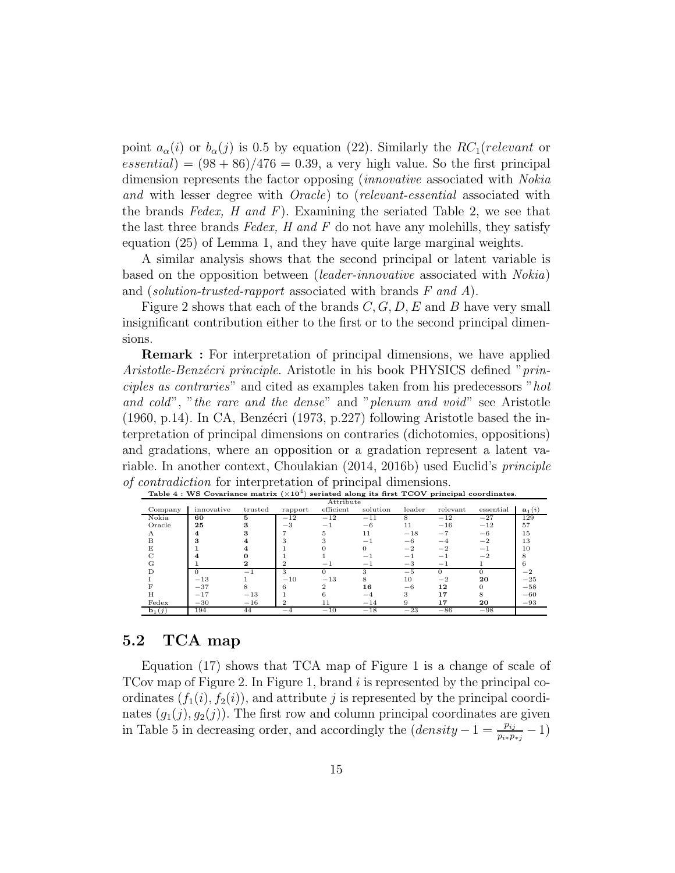point  $a_{\alpha}(i)$  or  $b_{\alpha}(j)$  is 0.5 by equation (22). Similarly the  $RC_1(relevant \text{ or } 1)$  $essential) = (98 + 86)/476 = 0.39$ , a very high value. So the first principal dimension represents the factor opposing (*innovative* associated with *Nokia and* with lesser degree with *Oracle*) to (*relevant-essential* associated with the brands *Fedex, H and F*). Examining the seriated Table 2, we see that the last three brands *Fedex, H and F* do not have any molehills, they satisfy equation (25) of Lemma 1, and they have quite large marginal weights.

A similar analysis shows that the second principal or latent variable is based on the opposition between (*leader-innovative* associated with *Nokia*) and (*solution-trusted-rapport* associated with brands *F and A*).

Figure 2 shows that each of the brands  $C, G, D, E$  and B have very small insignificant contribution either to the first or to the second principal dimensions.

Remark : For interpretation of principal dimensions, we have applied *Aristotle-Benz´ecri principle*. Aristotle in his book PHYSICS defined "*principles as contraries*" and cited as examples taken from his predecessors "*hot and cold*", "*the rare and the dense*" and "*plenum and void*" see Aristotle (1960, p.14). In CA, Benzécri (1973, p.227) following Aristotle based the interpretation of principal dimensions on contraries (dichotomies, oppositions) and gradations, where an opposition or a gradation represent a latent variable. In another context, Choulakian (2014, 2016b) used Euclid's *principle of contradiction* for interpretation of principal dimensions.

| Attribute         |                |         |               |           |                          |        |          |           |          |
|-------------------|----------------|---------|---------------|-----------|--------------------------|--------|----------|-----------|----------|
| Company           | innovative     | trusted | rapport       | efficient | solution                 | leader | relevant | essential | $a_1(i)$ |
| Nokia             | 60             |         | $-12$         | $-12$     | $-11$                    | 8      | $-12$    | $-27$     | 129      |
| Oracle            | 25             |         | $-3$          | $-1$      | $-6$                     | 11     | $-16$    | $-12$     | 57       |
| А                 | $\overline{a}$ |         |               | 5         | 11                       | $-18$  | $-7$     | $-6$      | 15       |
| B                 | з              |         |               |           | - 1                      | $-6$   | $-4$     | $^{-2}$   | 13       |
| E                 |                |         |               |           |                          | $-2$   | $-2$     | - 1       | 10       |
| ◠                 |                |         |               |           | -                        | - 1    | - 1      | $^{-2}$   |          |
|                   |                |         |               | - 1       | $\overline{\phantom{a}}$ | $-3$   | - 1      |           | б        |
|                   |                | -       |               |           |                          | $-5$   |          |           | $^{-2}$  |
|                   | $-13$          |         | $-10$         | $-13$     |                          | 10     | $-2$     | 20        | $-25$    |
| F                 | $-37$          | 8       | 6             | 2         | 16                       | $-6$   | 12       |           | $-58$    |
| H                 | $-17$          | $-13$   |               |           | $-4$                     | 3      | 17       |           | $-60$    |
| Fedex             | $-30$          | $-16$   | $\Omega$<br>z | 11        | $-14$                    | 9      | 17       | 20        | $-93$    |
| $\mathbf{b}_1(j)$ | 194            | 44      | -4            | $-10$     | $-18$                    | $-23$  | $-86$    | $-98$     |          |

Table 4 : WS Covariance matrix  $(\times 10^4)$  seriated along its first TCOV principal coordinates

#### 5.2 TCA map

Equation (17) shows that TCA map of Figure 1 is a change of scale of TCov map of Figure 2. In Figure 1, brand i is represented by the principal coordinates  $(f_1(i), f_2(i))$ , and attribute j is represented by the principal coordinates  $(g_1(j), g_2(j))$ . The first row and column principal coordinates are given in Table 5 in decreasing order, and accordingly the  $(density - 1 = \frac{p_{ij}}{p_{i*}p_{*j}} - 1)$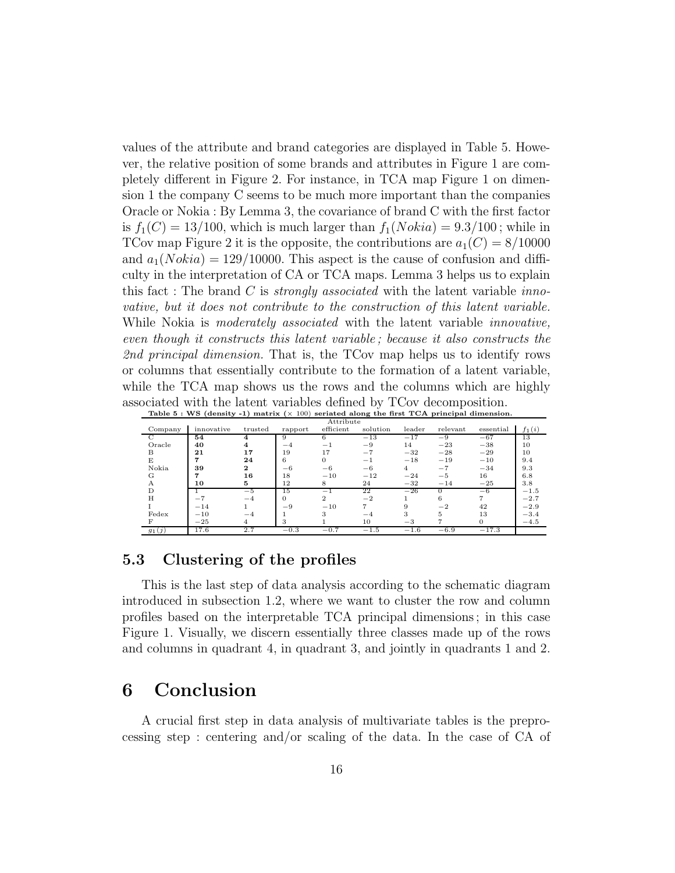values of the attribute and brand categories are displayed in Table 5. However, the relative position of some brands and attributes in Figure 1 are completely different in Figure 2. For instance, in TCA map Figure 1 on dimension 1 the company C seems to be much more important than the companies Oracle or Nokia : By Lemma 3, the covariance of brand C with the first factor is  $f_1(C) = 13/100$ , which is much larger than  $f_1(Nokia) = 9.3/100$ ; while in TCov map Figure 2 it is the opposite, the contributions are  $a_1(C) = 8/10000$ and  $a_1(Nokia) = 129/10000$ . This aspect is the cause of confusion and difficulty in the interpretation of CA or TCA maps. Lemma 3 helps us to explain this fact : The brand C is *strongly associated* with the latent variable *innovative, but it does not contribute to the construction of this latent variable.* While Nokia is *moderately associated* with the latent variable *innovative, even though it constructs this latent variable ; because it also constructs the 2nd principal dimension.* That is, the TCov map helps us to identify rows or columns that essentially contribute to the formation of a latent variable, while the TCA map shows us the rows and the columns which are highly associated with the latent variables defined by TCov decomposition. Table 5 : WS (density -1) matrix  $(x, 100)$  seriated along the first TCA principal dimension

|           |            |         | $-1$     |               | --       |        | ----     |           |          |
|-----------|------------|---------|----------|---------------|----------|--------|----------|-----------|----------|
| Attribute |            |         |          |               |          |        |          |           |          |
| Company   | innovative | trusted | rapport  | efficient     | solution | leader | relevant | essential | $f_1(i)$ |
|           | 54         |         | 9        |               | $-13$    | $-17$  | $-9$     | $-67$     | 13       |
| Oracle    | 40         | 4       | $-4$     | $-1$          | $-9$     | 14     | $-23$    | $-38$     | 10       |
| B         | 21         | 17      | 19       | 17            | $-7$     | $-32$  | $-28$    | $-29$     | 10       |
| E.        |            | 24      | 6        | $\Omega$      | $-1$     | $-18$  | $-19$    | $-10$     | 9.4      |
| Nokia     | 39         | 2       | $-6$     | $-6$          | $-6$     | 4      | $-7$     | $-34$     | 9.3      |
| G         |            | 16      | 18       | $-10$         | $-12$    | $-24$  | $-5$     | 16        | 6.8      |
| A         | 10         | 5       | 12       | 8             | 24       | $-32$  | $-14$    | $-25$     | 3.8      |
| D         |            | $-5$    | 15       | $-1$          | 22       | $-26$  |          | $-6$      | $-1.5$   |
| H         | $-7$       | $-4$    | $\Omega$ | $\mathcal{D}$ | $-2$     |        | 6        |           | $-2.7$   |
|           | $-14$      |         | $-9$     | $-10$         |          |        | $-2$     | 42        | $-2.9$   |
| Fedex     | $-10$      | $-4$    |          | 3             | $-4$     |        | 5        | 13        | $-3.4$   |
| F         | $-25$      | 4       | 3        |               | 10       | $-3$   |          |           | $-4.5$   |
| $g_1(j)$  | 17.6       | 2.7     | $-0.3$   | $-0.7$        | $-1.5$   | $-1.6$ | $-6.9$   | $-17.3$   |          |

### 5.3 Clustering of the profiles

This is the last step of data analysis according to the schematic diagram introduced in subsection 1.2, where we want to cluster the row and column profiles based on the interpretable TCA principal dimensions ; in this case Figure 1. Visually, we discern essentially three classes made up of the rows and columns in quadrant 4, in quadrant 3, and jointly in quadrants 1 and 2.

## 6 Conclusion

A crucial first step in data analysis of multivariate tables is the preprocessing step : centering and/or scaling of the data. In the case of CA of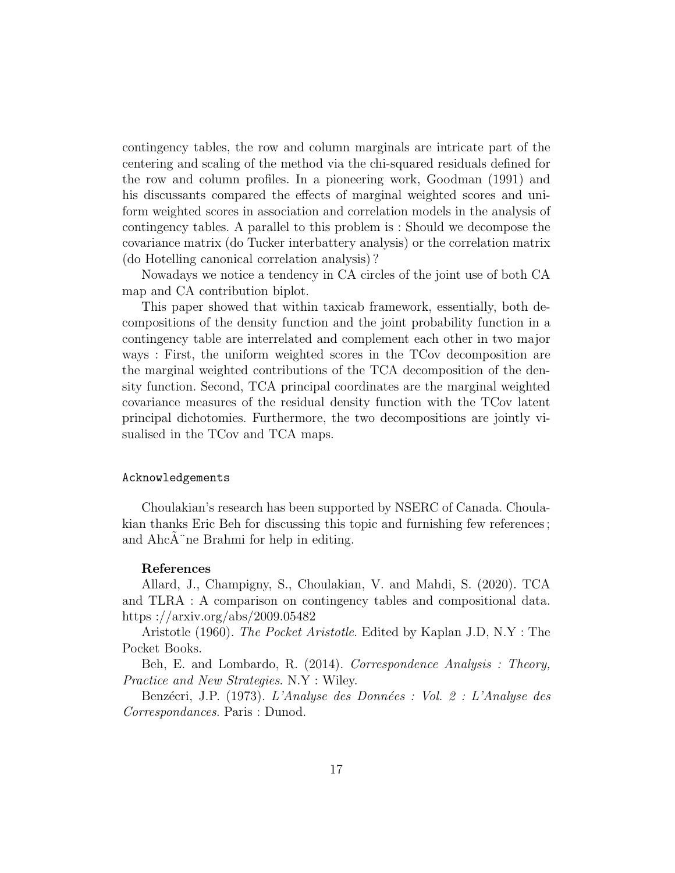contingency tables, the row and column marginals are intricate part of the centering and scaling of the method via the chi-squared residuals defined for the row and column profiles. In a pioneering work, Goodman (1991) and his discussants compared the effects of marginal weighted scores and uniform weighted scores in association and correlation models in the analysis of contingency tables. A parallel to this problem is : Should we decompose the covariance matrix (do Tucker interbattery analysis) or the correlation matrix (do Hotelling canonical correlation analysis) ?

Nowadays we notice a tendency in CA circles of the joint use of both CA map and CA contribution biplot.

This paper showed that within taxicab framework, essentially, both decompositions of the density function and the joint probability function in a contingency table are interrelated and complement each other in two major ways : First, the uniform weighted scores in the TCov decomposition are the marginal weighted contributions of the TCA decomposition of the density function. Second, TCA principal coordinates are the marginal weighted covariance measures of the residual density function with the TCov latent principal dichotomies. Furthermore, the two decompositions are jointly visualised in the TCov and TCA maps.

#### Acknowledgements

Choulakian's research has been supported by NSERC of Canada. Choulakian thanks Eric Beh for discussing this topic and furnishing few references ; and AhcA"ne Brahmi for help in editing.

#### References

Allard, J., Champigny, S., Choulakian, V. and Mahdi, S. (2020). TCA and TLRA : A comparison on contingency tables and compositional data. https ://arxiv.org/abs/2009.05482

Aristotle (1960). *The Pocket Aristotle*. Edited by Kaplan J.D, N.Y : The Pocket Books.

Beh, E. and Lombardo, R. (2014). *Correspondence Analysis : Theory, Practice and New Strategies*. N.Y : Wiley.

Benzécri, J.P. (1973). *L'Analyse des Données : Vol. 2 : L'Analyse des Correspondances*. Paris : Dunod.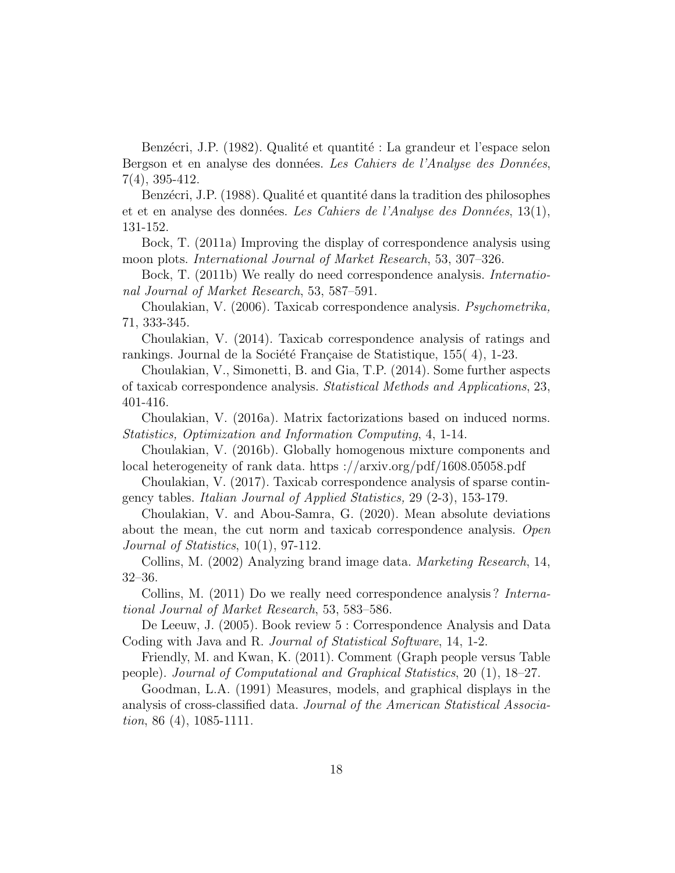Benzécri, J.P. (1982). Qualité et quantité : La grandeur et l'espace selon Bergson et en analyse des données. Les Cahiers de l'Analyse des Données, 7(4), 395-412.

Benzécri, J.P. (1988). Qualité et quantité dans la tradition des philosophes et et en analyse des donn´ees. *Les Cahiers de l'Analyse des Donn´ees*, 13(1), 131-152.

Bock, T. (2011a) Improving the display of correspondence analysis using moon plots. *International Journal of Market Research*, 53, 307–326.

Bock, T. (2011b) We really do need correspondence analysis. *International Journal of Market Research*, 53, 587–591.

Choulakian, V. (2006). Taxicab correspondence analysis. *Psychometrika,* 71, 333-345.

Choulakian, V. (2014). Taxicab correspondence analysis of ratings and rankings. Journal de la Société Française de Statistique,  $155(4)$ , 1-23.

Choulakian, V., Simonetti, B. and Gia, T.P. (2014). Some further aspects of taxicab correspondence analysis. *Statistical Methods and Applications*, 23, 401-416.

Choulakian, V. (2016a). Matrix factorizations based on induced norms. *Statistics, Optimization and Information Computing*, 4, 1-14.

Choulakian, V. (2016b). Globally homogenous mixture components and local heterogeneity of rank data. https ://arxiv.org/pdf/1608.05058.pdf

Choulakian, V. (2017). Taxicab correspondence analysis of sparse contingency tables. *Italian Journal of Applied Statistics,* 29 (2-3), 153-179.

Choulakian, V. and Abou-Samra, G. (2020). Mean absolute deviations about the mean, the cut norm and taxicab correspondence analysis. *Open Journal of Statistics*, 10(1), 97-112.

Collins, M. (2002) Analyzing brand image data. *Marketing Research*, 14, 32–36.

Collins, M. (2011) Do we really need correspondence analysis ? *International Journal of Market Research*, 53, 583–586.

De Leeuw, J. (2005). Book review 5 : Correspondence Analysis and Data Coding with Java and R. *Journal of Statistical Software*, 14, 1-2.

Friendly, M. and Kwan, K. (2011). Comment (Graph people versus Table people). *Journal of Computational and Graphical Statistics*, 20 (1), 18–27.

Goodman, L.A. (1991) Measures, models, and graphical displays in the analysis of cross-classified data. *Journal of the American Statistical Association*, 86 (4), 1085-1111.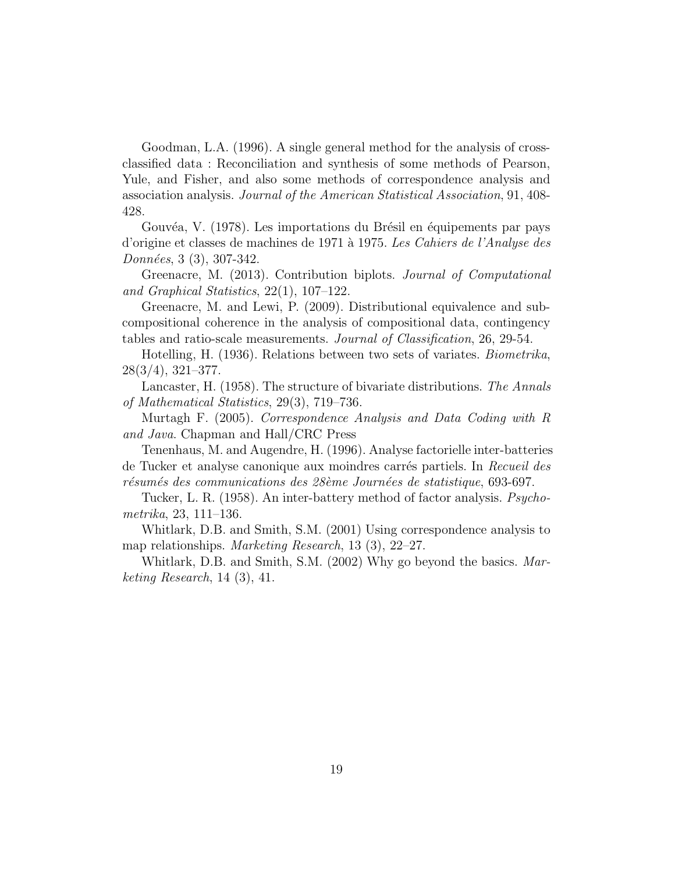Goodman, L.A. (1996). A single general method for the analysis of crossclassified data : Reconciliation and synthesis of some methods of Pearson, Yule, and Fisher, and also some methods of correspondence analysis and association analysis. *Journal of the American Statistical Association*, 91, 408- 428.

Gouvéa, V. (1978). Les importations du Brésil en équipements par pays d'origine et classes de machines de 1971 `a 1975. *Les Cahiers de l'Analyse des Donn´ees*, 3 (3), 307-342.

Greenacre, M. (2013). Contribution biplots. *Journal of Computational and Graphical Statistics*, 22(1), 107–122.

Greenacre, M. and Lewi, P. (2009). Distributional equivalence and subcompositional coherence in the analysis of compositional data, contingency tables and ratio-scale measurements. *Journal of Classification*, 26, 29-54.

Hotelling, H. (1936). Relations between two sets of variates. *Biometrika*, 28(3/4), 321–377.

Lancaster, H. (1958). The structure of bivariate distributions. *The Annals of Mathematical Statistics*, 29(3), 719–736.

Murtagh F. (2005). *Correspondence Analysis and Data Coding with R and Java*. Chapman and Hall/CRC Press

Tenenhaus, M. and Augendre, H. (1996). Analyse factorielle inter-batteries de Tucker et analyse canonique aux moindres carr´es partiels. In *Recueil des r´esum´es des communications des 28`eme Journ´ees de statistique*, 693-697.

Tucker, L. R. (1958). An inter-battery method of factor analysis. *Psychometrika*, 23, 111–136.

Whitlark, D.B. and Smith, S.M. (2001) Using correspondence analysis to map relationships. *Marketing Research*, 13 (3), 22–27.

Whitlark, D.B. and Smith, S.M. (2002) Why go beyond the basics. *Marketing Research*, 14 (3), 41.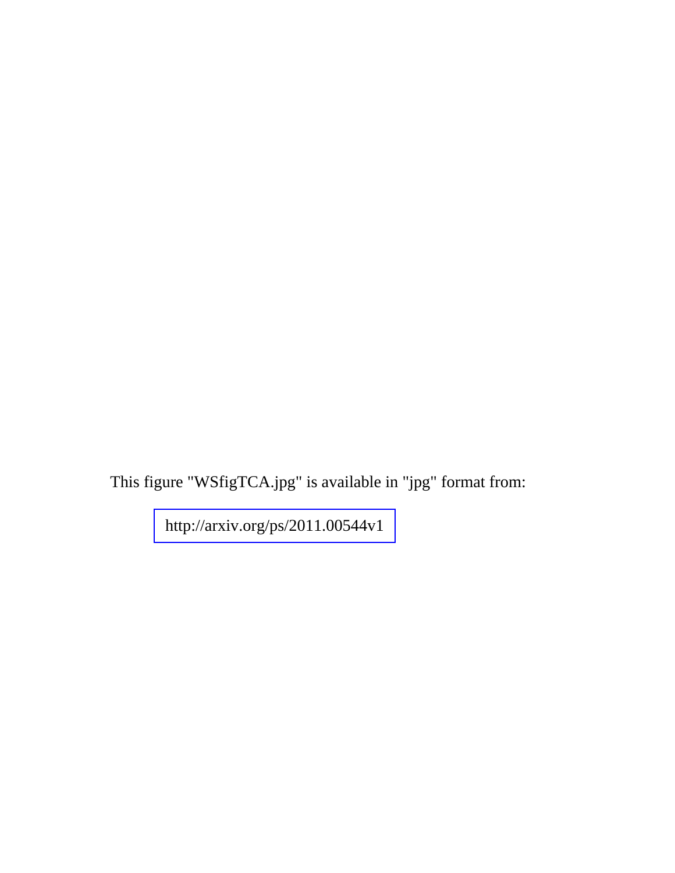This figure "WSfigTCA.jpg" is available in "jpg" format from:

<http://arxiv.org/ps/2011.00544v1>